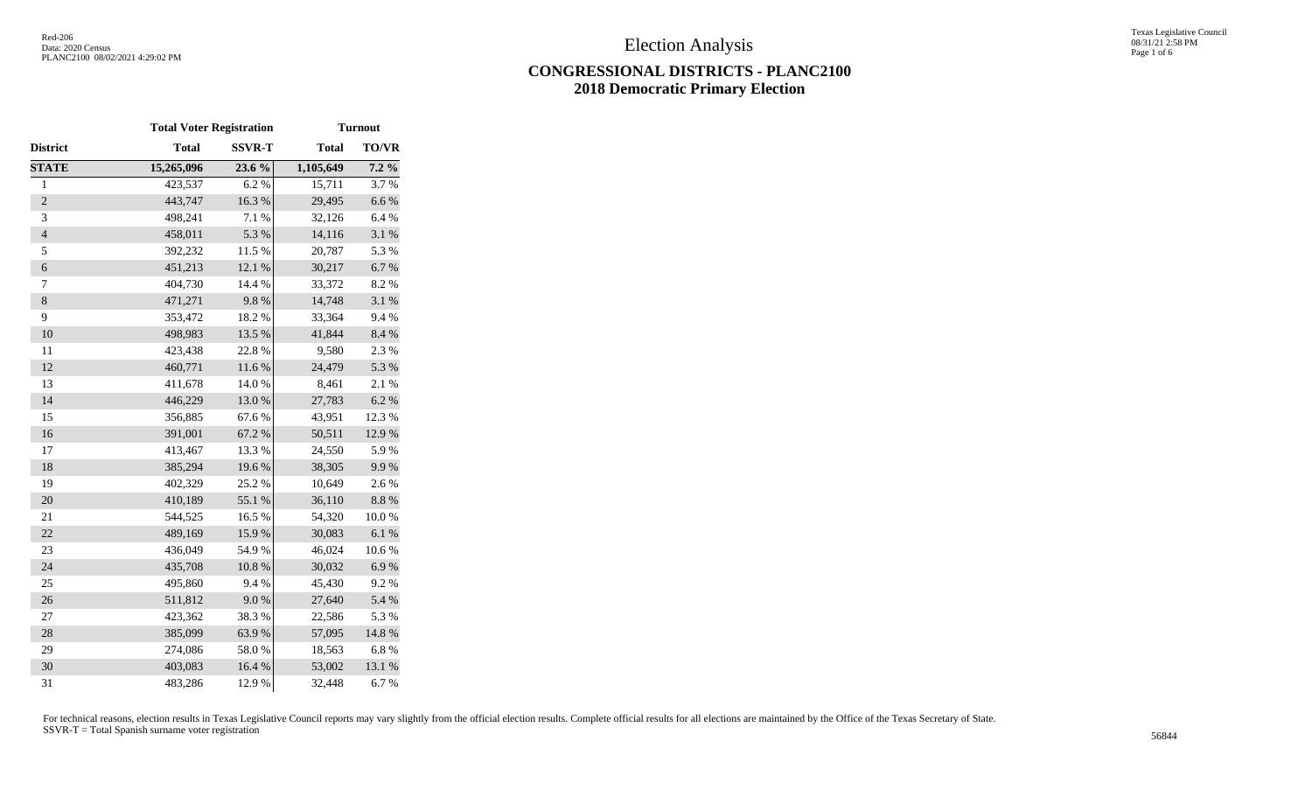# **CONGRESSIONAL DISTRICTS - PLANC2100 2018 Democratic Primary Election**

|                          | <b>Total Voter Registration</b> |               | <b>Turnout</b> |              |  |  |  |
|--------------------------|---------------------------------|---------------|----------------|--------------|--|--|--|
| District                 | <b>Total</b>                    | <b>SSVR-T</b> | <b>Total</b>   | <b>TO/VR</b> |  |  |  |
| <b>STATE</b>             | 15,265,096                      | 23.6 %        | 1,105,649      | $7.2\%$      |  |  |  |
| $\mathbf{1}$             | 423,537                         | 6.2%          | 15,711         | 3.7%         |  |  |  |
| $\overline{2}$           | 443,747                         | 16.3%         | 29,495         | 6.6%         |  |  |  |
| 3                        | 498,241                         | 7.1 %         | 32,126         | 6.4%         |  |  |  |
| $\overline{\mathcal{L}}$ | 458,011                         | 5.3 %         | 14,116         | 3.1 %        |  |  |  |
| 5                        | 392,232                         | 11.5 %        | 20,787         | 5.3 %        |  |  |  |
| $\boldsymbol{6}$         | 451,213                         | 12.1 %        | 30,217         | 6.7 %        |  |  |  |
| $\tau$                   | 404,730                         | 14.4 %        | 33,372         | 8.2%         |  |  |  |
| $\,8\,$                  | 471,271                         | 9.8%          | 14,748         | 3.1 %        |  |  |  |
| 9                        | 353,472                         | 18.2%         | 33,364         | 9.4%         |  |  |  |
| 10                       | 498,983                         | 13.5 %        | 41,844         | 8.4 %        |  |  |  |
| 11                       | 423,438                         | 22.8%         | 9,580          | 2.3 %        |  |  |  |
| 12                       | 460,771                         | 11.6 %        | 24,479         | 5.3 %        |  |  |  |
| 13                       | 411,678                         | 14.0%         | 8,461          | 2.1%         |  |  |  |
| 14                       | 446,229                         | 13.0%         | 27,783         | 6.2%         |  |  |  |
| 15                       | 356,885                         | 67.6%         | 43,951         | 12.3 %       |  |  |  |
| 16                       | 391,001                         | 67.2%         | 50,511         | 12.9 %       |  |  |  |
| 17                       | 413,467                         | 13.3 %        | 24,550         | 5.9%         |  |  |  |
| 18                       | 385,294                         | 19.6%         | 38,305         | 9.9%         |  |  |  |
| 19                       | 402,329                         | 25.2 %        | 10,649         | 2.6%         |  |  |  |
| 20                       | 410,189                         | 55.1 %        | 36,110         | $8.8\ \%$    |  |  |  |
| 21                       | 544,525                         | 16.5 %        | 54,320         | 10.0%        |  |  |  |
| 22                       | 489,169                         | 15.9%         | 30,083         | 6.1%         |  |  |  |
| 23                       | 436,049                         | 54.9%         | 46,024         | 10.6%        |  |  |  |
| 24                       | 435,708                         | $10.8~\%$     | 30,032         | 6.9%         |  |  |  |
| 25                       | 495,860                         | 9.4%          | 45,430         | 9.2%         |  |  |  |
| 26                       | 511,812                         | 9.0%          | 27,640         | 5.4 %        |  |  |  |
| 27                       | 423,362                         | 38.3%         | 22,586         | 5.3 %        |  |  |  |
| 28                       | 385,099                         | 63.9%         | 57,095         | $14.8~\%$    |  |  |  |
| 29                       | 274,086                         | 58.0%         | 18,563         | 6.8%         |  |  |  |
| 30                       | 403,083                         | 16.4 %        | 53,002         | 13.1 %       |  |  |  |
| 31                       | 483,286                         | 12.9%         | 32,448         | 6.7%         |  |  |  |

For technical reasons, election results in Texas Legislative Council reports may vary slightly from the official election results. Complete official results for all elections are maintained by the Office of the Texas Secre SSVR-T = Total Spanish surname voter registration <sup>56844</sup>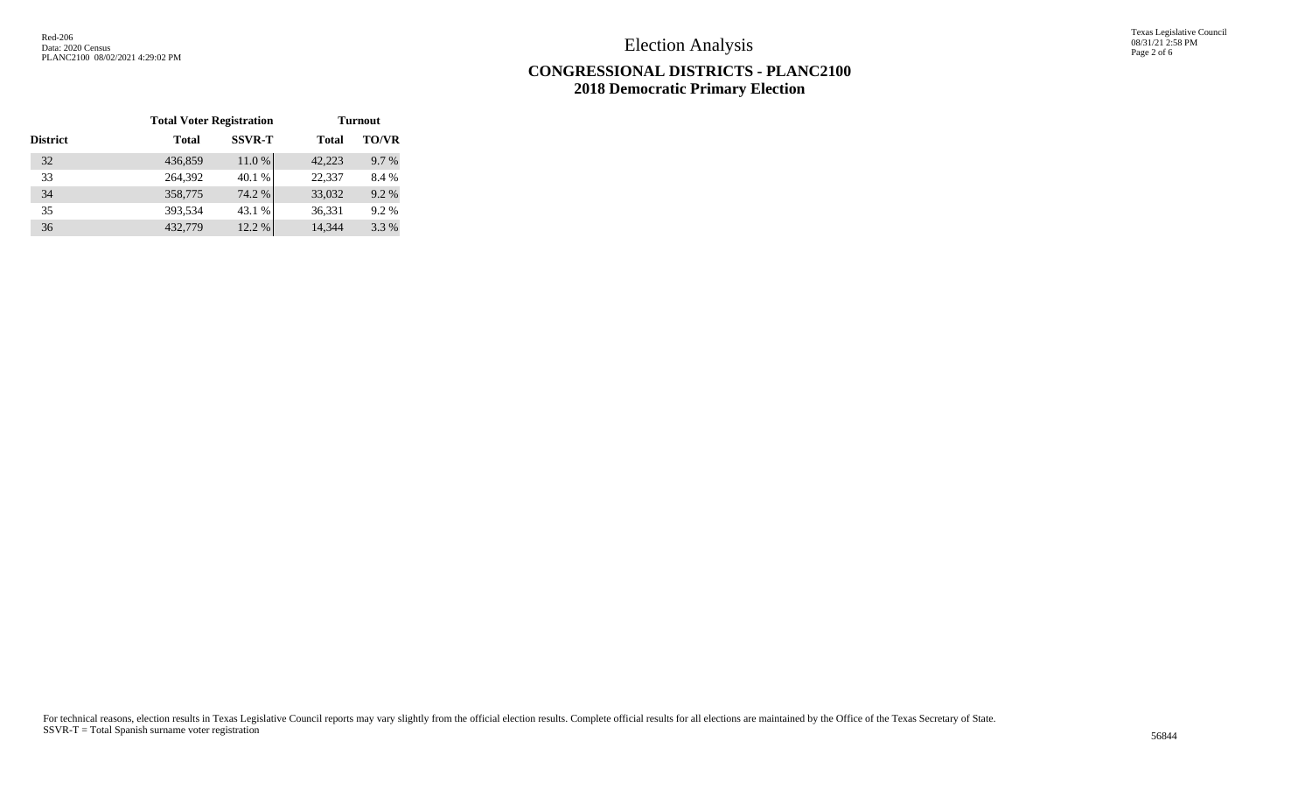Election Analysis

Texas Legislative Council 08/31/21 2:58 PM Page 2 of 6

# **CONGRESSIONAL DISTRICTS - PLANC2100 2018 Democratic Primary Election**

|                 | <b>Total Voter Registration</b> |               | <b>Turnout</b> |              |  |  |
|-----------------|---------------------------------|---------------|----------------|--------------|--|--|
| <b>District</b> | <b>Total</b>                    | <b>SSVR-T</b> | <b>Total</b>   | <b>TO/VR</b> |  |  |
| 32              | 436,859                         | 11.0%         | 42,223         | 9.7 %        |  |  |
| 33              | 264,392                         | 40.1 %        | 22,337         | 8.4 %        |  |  |
| 34              | 358,775                         | 74.2 %        | 33,032         | 9.2%         |  |  |
| 35              | 393,534                         | 43.1 %        | 36,331         | 9.2%         |  |  |
| 36              | 432,779                         | 12.2 %        | 14,344         | 3.3 %        |  |  |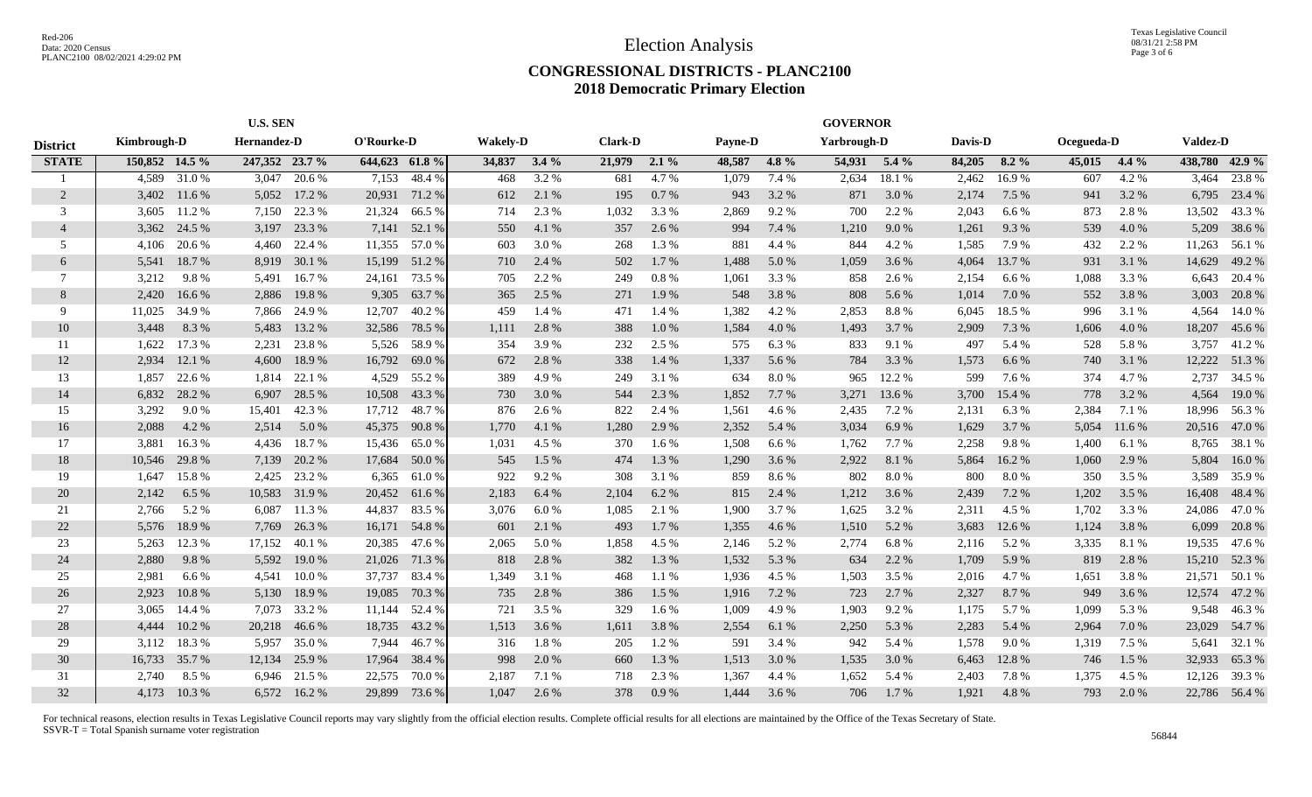## **CONGRESSIONAL DISTRICTS - PLANC2100 2018 Democratic Primary Election**

|                 | <b>U.S. SEN</b>            |           |                |            |               | <b>GOVERNOR</b> |        |                |                |         |             |         |                |         |            |         |                 |         |                |               |
|-----------------|----------------------------|-----------|----------------|------------|---------------|-----------------|--------|----------------|----------------|---------|-------------|---------|----------------|---------|------------|---------|-----------------|---------|----------------|---------------|
| <b>District</b> | Kimbrough-D<br>Hernandez-D |           |                | O'Rourke-D |               | <b>Wakely-D</b> |        | <b>Clark-D</b> | <b>Payne-D</b> |         | Yarbrough-D |         | <b>Davis-D</b> |         | Ocegueda-D |         | <b>Valdez-D</b> |         |                |               |
| <b>STATE</b>    | 150,852 14.5 %             |           | 247,352 23.7 % |            | 644,623 61.8% |                 | 34,837 | $3.4\%$        | 21,979         | $2.1\%$ | 48,587      | $4.8\%$ | 54,931         | $5.4\%$ | 84,205     | $8.2\%$ | 45,015          | $4.4\%$ | 438,780 42.9 % |               |
|                 | 4.589                      | 31.0%     | 3,047          | 20.6 %     | 7,153         | 48.4%           | 468    | 3.2 %          | 681            | 4.7 %   | 1,079       | 7.4 %   | 2,634          | 18.1 %  | 2,462      | 16.9%   | 607             | 4.2 %   | 3,464          | 23.8%         |
| 2               | 3,402                      | 11.6 %    | 5,052          | 17.2 %     | 20,931        | 71.2%           | 612    | 2.1 %          | 195            | 0.7%    | 943         | 3.2 %   | 871            | 3.0 %   | 2,174      | 7.5 %   | 941             | 3.2 %   | 6,795          | 23.4 %        |
| 3               | 3,605                      | 11.2 %    | 7,150          | 22.3 %     | 21,324        | 66.5 %          | 714    | 2.3 %          | 1,032          | 3.3 %   | 2,869       | 9.2%    | 700            | 2.2 %   | 2,043      | 6.6 %   | 873             | 2.8%    | 13,502         | 43.3 %        |
| $\overline{4}$  | 3,362                      | 24.5 %    | 3,197          | 23.3 %     | 7,141         | 52.1 %          | 550    | 4.1 %          | 357            | 2.6 %   | 994         | 7.4 %   | 1,210          | 9.0%    | 1,261      | 9.3%    | 539             | 4.0%    | 5,209          | 38.6 %        |
| 5               | 4,106                      | 20.6 %    | 4,460          | 22.4 %     | 11,355        | 57.0 %          | 603    | 3.0%           | 268            | 1.3 %   | 881         | 4.4 %   | 844            | 4.2 %   | 1,585      | 7.9 %   | 432             | 2.2 %   | 11,263         | 56.1 %        |
| 6               | 5,541                      | 18.7%     | 8,919          | 30.1 %     | 15,199        | 51.2 %          | 710    | 2.4 %          | 502            | 1.7%    | 1,488       | 5.0%    | 1,059          | 3.6 %   | 4,064      | 13.7%   | 931             | 3.1 %   | 14,629         | 49.2 %        |
| 7               | 3,212                      | 9.8%      | 5,491          | 16.7%      | 24,161        | 73.5 %          | 705    | 2.2 %          | 249            | 0.8%    | 1,061       | 3.3 %   | 858            | 2.6 %   | 2,154      | 6.6%    | 1,088           | 3.3 %   | 6,643          | 20.4 %        |
| 8               | 2,420                      | 16.6 %    | 2,886          | 19.8%      | 9,305         | 63.7 %          | 365    | 2.5 %          | 271            | 1.9%    | 548         | 3.8%    | 808            | 5.6 %   | 1,014      | 7.0 %   | 552             | 3.8%    | 3,003          | 20.8 %        |
| $\mathbf Q$     | 11,025                     | 34.9%     | 7,866          | 24.9 %     | 12,707        | 40.2 %          | 459    | 1.4 %          | 471            | 1.4 %   | 1,382       | 4.2 %   | 2,853          | 8.8%    | 6,045      | 18.5 %  | 996             | 3.1 %   | 4,564          | 14.0 %        |
| 10              | 3,448                      | 8.3%      | 5,483          | 13.2 %     | 32,586        | 78.5 %          | 1,111  | 2.8%           | 388            | 1.0%    | 1,584       | 4.0%    | 1,493          | 3.7 %   | 2,909      | 7.3 %   | 1,606           | 4.0%    | 18,207         | 45.6%         |
| 11              | 1.622                      | 17.3 %    | 2,231          | 23.8%      | 5,526         | 58.9%           | 354    | 3.9%           | 232            | 2.5 %   | 575         | 6.3 %   | 833            | 9.1 %   | 497        | 5.4 %   | 528             | 5.8%    | 3,757          | 41.2%         |
| 12              | 2,934                      | 12.1 %    | 4,600          | 18.9 %     | 16,792        | 69.0%           | 672    | 2.8%           | 338            | 1.4 %   | 1,337       | 5.6 %   | 784            | 3.3 %   | 1,573      | 6.6 %   | 740             | 3.1 %   | 12,222         | 51.3 %        |
| 13              | 1,857                      | 22.6 %    | 1,814          | 22.1 %     | 4,529         | 55.2 %          | 389    | 4.9%           | 249            | 3.1 %   | 634         | 8.0%    | 965            | 12.2 %  | 599        | 7.6 %   | 374             | 4.7 %   | 2,737          | 34.5 %        |
| 14              | 6,832                      | 28.2 %    | 6,907          | 28.5 %     | 10,508        | 43.3 %          | 730    | 3.0%           | 544            | 2.3 %   | 1,852       | 7.7 %   | 3,271          | 13.6 %  | 3,700      | 15.4 %  | 778             | 3.2 %   | 4,564          | 19.0 %        |
| 15              | 3,292                      | 9.0%      | 15,401         | 42.3 %     | 17,712        | 48.7%           | 876    | 2.6 %          | 822            | 2.4 %   | 1,561       | 4.6 %   | 2,435          | 7.2 %   | 2,131      | 6.3%    | 2,384           | 7.1 %   | 18,996         | 56.3%         |
| 16              | 2,088                      | 4.2 %     | 2,514          | 5.0 %      | 45,375        | 90.8%           | 1,770  | 4.1 %          | 1,280          | 2.9 %   | 2,352       | 5.4 %   | 3,034          | 6.9%    | 1,629      | 3.7%    | 5,054           | 11.6 %  | 20,516         | 47.0 %        |
| 17              | 3,881                      | 16.3%     | 4,436          | 18.7%      | 15,436        | 65.0%           | 1,031  | 4.5 %          | 370            | 1.6 %   | 1,508       | 6.6 %   | 1,762          | 7.7 %   | 2,258      | 9.8%    | 1,400           | 6.1 %   | 8,765          | 38.1 %        |
| 18              | 10,546                     | 29.8%     | 7,139          | 20.2 %     | 17,684        | 50.0%           | 545    | 1.5 %          | 474            | 1.3%    | 1,290       | 3.6 %   | 2,922          | 8.1%    | 5,864      | 16.2%   | 1,060           | 2.9 %   | 5,804          | 16.0%         |
| 19              | 1,647                      | 15.8%     | 2,425          | 23.2 %     | 6,365         | 61.0%           | 922    | 9.2%           | 308            | 3.1 %   | 859         | 8.6%    | 802            | 8.0%    | 800        | 8.0%    | 350             | 3.5 %   | 3,589          | 35.9 %        |
| 20              | 2,142                      | 6.5 %     | 10,583         | 31.9 %     | 20,452        | 61.6 %          | 2,183  | 6.4 %          | 2,104          | 6.2 %   | 815         | 2.4 %   | 1,212          | 3.6 %   | 2,439      | 7.2 %   | 1,202           | 3.5 %   | 16,408         | 48.4 %        |
| 21              | 2,766                      | 5.2 %     | 6,087          | 11.3 %     | 44,837        | 83.5 %          | 3,076  | 6.0%           | 1,085          | 2.1 %   | 1,900       | 3.7 %   | 1,625          | 3.2 %   | 2,311      | 4.5 %   | 1,702           | 3.3 %   | 24,086         | 47.0%         |
| 22              | 5,576                      | 18.9%     | 7,769          | 26.3 %     | 16,171        | 54.8%           | 601    | 2.1 %          | 493            | 1.7 %   | 1,355       | 4.6 %   | 1,510          | 5.2 %   | 3,683      | 12.6 %  | 1,124           | 3.8%    | 6,099          | 20.8 %        |
| 23              | 5,263                      | 12.3 %    | 17,152         | 40.1 %     | 20,385        | 47.6 %          | 2,065  | 5.0%           | 1,858          | 4.5 %   | 2,146       | 5.2%    | 2,774          | 6.8%    | 2,116      | 5.2%    | 3,335           | 8.1 %   | 19,535         | 47.6 %        |
| 24              | 2,880                      | 9.8%      | 5,592          | 19.0 %     | 21,026        | 71.3%           | 818    | 2.8%           | 382            | 1.3 %   | 1,532       | 5.3 %   | 634            | 2.2 %   | 1,709      | 5.9%    | 819             | 2.8%    | 15,210         | 52.3 %        |
| 25              | 2,981                      | 6.6 %     | 4.541          | 10.0%      | 37,737        | 83.4 %          | 1,349  | 3.1 %          | 468            | 1.1 %   | 1,936       | 4.5 %   | 1,503          | 3.5 %   | 2,016      | 4.7%    | 1,651           | 3.8%    | 21,571         | 50.1 %        |
| 26              | 2,923                      | $10.8~\%$ | 5,130          | 18.9%      | 19,085        | 70.3%           | 735    | 2.8%           | 386            | 1.5 %   | 1,916       | 7.2 %   | 723            | 2.7 %   | 2,327      | 8.7%    | 949             | 3.6 %   | 12,574         | 47.2 %        |
| 27              | 3,065                      | 14.4 %    | 7,073          | 33.2 %     | 11,144        | 52.4 %          | 721    | 3.5 %          | 329            | 1.6 %   | 1,009       | 4.9%    | 1,903          | 9.2%    | 1,175      | 5.7 %   | 1,099           | 5.3 %   | 9,548          | 46.3%         |
| 28              | 4,444                      | 10.2 %    | 20,218         | 46.6 %     | 18,735        | 43.2 %          | 1,513  | 3.6 %          | 1,611          | 3.8 %   | 2,554       | 6.1 %   | 2,250          | 5.3 %   | 2,283      | 5.4 %   | 2,964           | 7.0%    | 23,029         | 54.7 %        |
| 29              | 3,112                      | 18.3%     | 5,957          | 35.0 %     | 7,944         | 46.7%           | 316    | 1.8%           | 205            | 1.2%    | 591         | 3.4 %   | 942            | 5.4 %   | 1,578      | 9.0%    | 1,319           | 7.5 %   | 5,641          | 32.1 %        |
| 30              | 16,733                     | 35.7 %    | 12,134         | 25.9%      | 17,964        | 38.4 %          | 998    | 2.0 %          | 660            | 1.3 %   | 1,513       | 3.0%    | 1,535          | 3.0%    | 6,463      | 12.8 %  | 746             | 1.5 %   | 32,933         | 65.3%         |
| 31              | 2.740                      | 8.5%      | 6,946          | 21.5 %     | 22,575        | 70.0%           | 2,187  | 7.1 %          | 718            | 2.3 %   | 1,367       | 4.4 %   | 1,652          | 5.4 %   | 2,403      | 7.8%    | 1,375           | 4.5 %   | 12,126         | 39.3 %        |
| 32              | 4,173                      | 10.3 %    | 6,572          | 16.2 %     | 29,899        | 73.6 %          | 1,047  | 2.6 %          | 378            | 0.9%    | 1,444       | 3.6 %   | 706            | 1.7%    | 1,921      | 4.8%    | 793             | 2.0 %   |                | 22,786 56.4 % |

For technical reasons, election results in Texas Legislative Council reports may vary slightly from the official election results. Complete official results for all elections are maintained by the Office of the Texas Secre SSVR-T = Total Spanish surname voter registration <sup>56844</sup>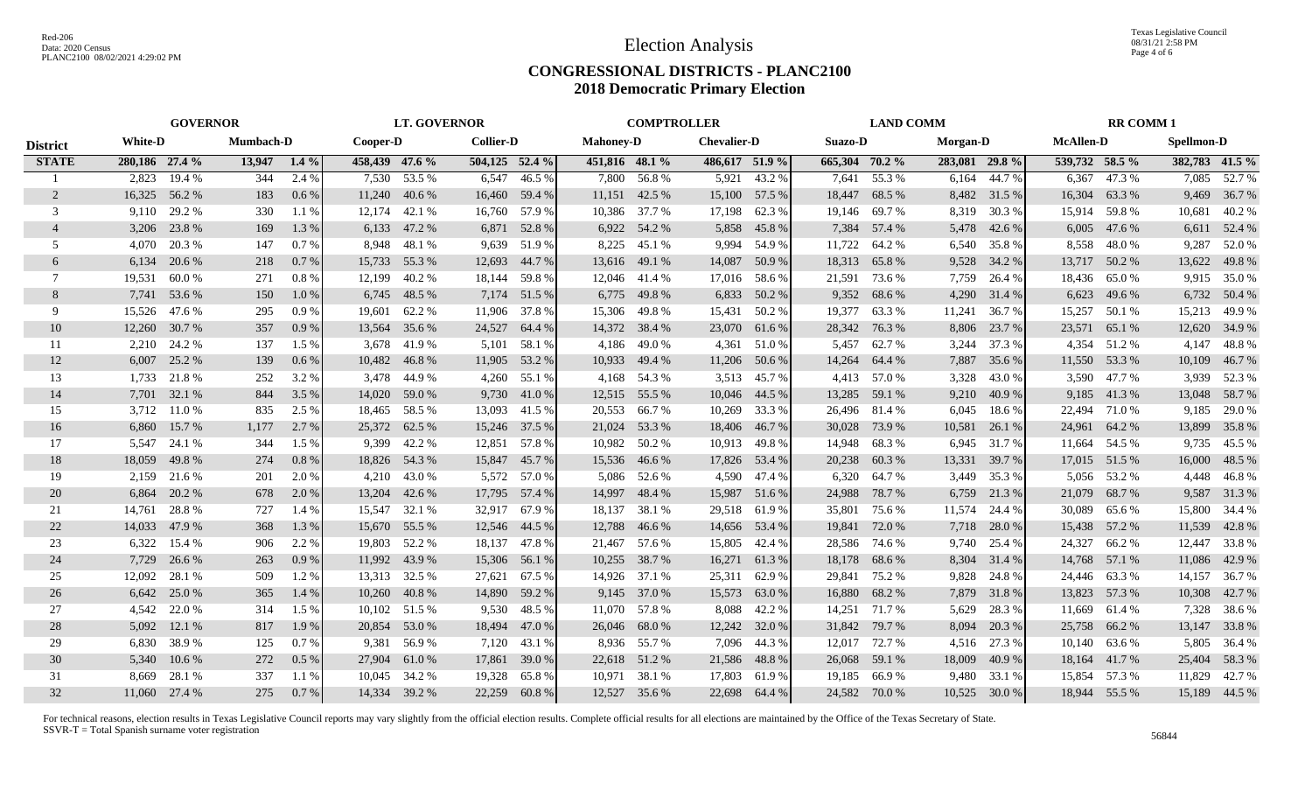# **CONGRESSIONAL DISTRICTS - PLANC2100 2018 Democratic Primary Election**

|                 | <b>GOVERNOR</b>                    |               |          |         |                  | <b>LT. GOVERNOR</b> |                  |               |                    | <b>COMPTROLLER</b> |                |               |          | <b>LAND COMM</b> |                |                  |                | <b>RR COMM1</b> |        |                |  |
|-----------------|------------------------------------|---------------|----------|---------|------------------|---------------------|------------------|---------------|--------------------|--------------------|----------------|---------------|----------|------------------|----------------|------------------|----------------|-----------------|--------|----------------|--|
| <b>District</b> | <b>White-D</b><br><b>Mumbach-D</b> |               | Cooper-D |         | <b>Collier-D</b> |                     | <b>Mahoney-D</b> |               | <b>Chevalier-D</b> |                    | Suazo-D        |               | Morgan-D |                  |                | <b>McAllen-D</b> |                | Spellmon-D      |        |                |  |
| <b>STATE</b>    | 280,186 27.4 %                     |               | 13,947   | $1.4\%$ | 458,439 47.6 %   |                     | 504,125 52.4 %   |               | 451,816 48.1 %     |                    | 486,617 51.9 % |               |          | 665,304 70.2 %   | 283,081 29.8 % |                  | 539,732 58.5 % |                 |        | 382,783 41.5 % |  |
|                 | 2,823                              | 19.4 %        | 344      | 2.4 %   |                  | 7,530 53.5 %        | 6,547            | 46.5 %        |                    | 7,800 56.8%        | 5,921          | 43.2 %        | 7,641    | 55.3 %           |                | $6,164$ 44.7 %   | 6,367          | 47.3 %          | 7,085  | 52.7 %         |  |
| 2               | 16,325                             | 56.2 %        | 183      | $0.6\%$ | 11,240           | 40.6 %              | 16,460           | 59.4 %        |                    | 11,151 42.5 %      |                | 15,100 57.5 % | 18,447   | 68.5 %           |                | 8,482 31.5 %     | 16,304         | 63.3 %          | 9,469  | 36.7 %         |  |
| 3               | 9.110                              | 29.2 %        | 330      | 1.1 %   | 12,174           | 42.1 %              | 16,760           | 57.9 %        |                    | 10,386 37.7 %      | 17,198         | 62.3%         | 19,146   | 69.7 %           | 8,319          | 30.3 %           | 15,914         | 59.8%           | 10,681 | 40.2 %         |  |
| $\overline{4}$  | 3,206                              | 23.8 %        | 169      | 1.3%    | 6,133            | 47.2 %              |                  | 6,871 52.8 %  |                    | 6,922 54.2 %       | 5,858          | 45.8%         | 7,384    | 57.4 %           | 5,478          | 42.6 %           | 6,005          | 47.6 %          | 6,611  | 52.4 %         |  |
| .5              | 4.070                              | 20.3 %        | 147      | 0.7%    | 8.948            | 48.1 %              | 9,639            | 51.9%         | 8,225              | 45.1 %             | 9,994          | 54.9%         | 11,722   | 64.2 %           | 6,540          | 35.8%            | 8,558          | 48.0%           | 9,287  | 52.0 %         |  |
| 6               | 6,134                              | 20.6 %        | 218      | 0.7%    | 15,733           | 55.3 %              | 12,693           | 44.7 %        |                    | 13,616 49.1 %      | 14,087         | 50.9%         | 18,313   | 65.8%            | 9,528          | 34.2 %           | 13,717         | 50.2%           | 13,622 | 49.8%          |  |
| 7               | 19,531                             | 60.0%         | 271      | 0.8%    | 12,199           | 40.2 %              | 18,144           | 59.8%         |                    | 12,046 41.4 %      |                | 17,016 58.6 % | 21,591   | 73.6 %           | 7,759          | 26.4 %           | 18,436         | 65.0%           |        | 9,915 35.0 %   |  |
| 8               |                                    | 7,741 53.6 %  | 150      | 1.0%    | 6,745            | 48.5 %              | 7,174            | 51.5 %        | 6,775              | 49.8 %             | 6,833          | 50.2 %        | 9,352    | 68.6 %           | 4,290          | 31.4 %           | 6,623          | 49.6 %          |        | 6,732 50.4 %   |  |
| 9               | 15,526                             | 47.6 %        | 295      | 0.9%    | 19,601           | 62.2 %              | 11,906           | 37.8 %        | 15,306             | 49.8%              | 15,431         | 50.2 %        | 19,377   | 63.3 %           | 11,241         | 36.7 %           | 15,257         | 50.1 %          | 15,213 | 49.9%          |  |
| 10              | 12,260                             | 30.7 %        | 357      | 0.9%    | 13,564           | 35.6 %              | 24,527           | 64.4 %        |                    | 14,372 38.4 %      | 23,070         | 61.6%         | 28,342   | 76.3 %           | 8,806          | 23.7 %           | 23,571         | 65.1 %          | 12,620 | 34.9 %         |  |
| 11              | 2,210                              | 24.2 %        | 137      | 1.5 %   | 3.678            | 41.9%               | 5,101            | 58.1 %        | 4,186              | 49.0 %             |                | 4,361 51.0 %  | 5,457    | 62.7 %           | 3,244          | 37.3 %           | 4,354          | 51.2%           | 4,147  | 48.8%          |  |
| 12              | 6,007                              | 25.2 %        | 139      | $0.6\%$ | 10,482           | 46.8%               | 11,905           | 53.2 %        |                    | 10,933 49.4 %      | 11,206         | 50.6 %        | 14,264   | 64.4 %           | 7,887          | 35.6 %           |                | 11,550 53.3 %   | 10,109 | 46.7 %         |  |
| 13              |                                    | 1,733 21.8 %  | 252      | 3.2 %   | 3.478            | 44.9 %              | 4,260            | 55.1 %        |                    | 4,168 54.3 %       |                | 3,513 45.7 %  |          | 4,413 57.0 %     | 3,328          | 43.0%            | 3,590          | 47.7 %          |        | 3,939 52.3 %   |  |
| 14              |                                    | 7,701 32.1 %  | 844      | 3.5 %   | 14.020           | 59.0 %              | 9,730            | 41.0 %        |                    | 12,515 55.5 %      | 10,046 44.5 %  |               | 13,285   | 59.1 %           | 9,210          | 40.9%            | 9,185          | 41.3%           |        | 13,048 58.7 %  |  |
| 15              | 3,712                              | 11.0%         | 835      | 2.5 %   |                  | 18,465 58.5 %       | 13,093           | 41.5 %        |                    | 20,553 66.7%       | 10,269         | 33.3 %        |          | 26,496 81.4 %    | 6,045          | 18.6%            | 22,494         | 71.0%           | 9,185  | 29.0 %         |  |
| 16              | 6,860                              | 15.7 %        | 1,177    | 2.7 %   |                  | 25,372 62.5 %       |                  | 15,246 37.5 % |                    | 21,024 53.3 %      | 18,406         | 46.7 %        |          | 30,028 73.9 %    | 10,581         | 26.1 %           | 24,961         | 64.2 %          | 13,899 | 35.8%          |  |
| 17              | 5,547                              | 24.1 %        | 344      | 1.5 %   | 9,399            | 42.2 %              | 12,851           | 57.8%         |                    | 10,982 50.2 %      | 10,913         | 49.8%         | 14,948   | 68.3%            |                | 6,945 31.7 %     |                | 11,664 54.5 %   |        | 9,735 45.5 %   |  |
| 18              | 18,059                             | 49.8%         | 274      | 0.8%    | 18,826           | 54.3 %              | 15,847           | 45.7 %        |                    | 15,536 46.6 %      | 17,826         | 53.4 %        | 20,238   | 60.3%            | 13,331         | 39.7 %           | 17,015         | 51.5 %          | 16,000 | 48.5 %         |  |
| 19              | 2,159                              | 21.6 %        | 201      | 2.0 %   | 4,210            | 43.0 %              | 5,572            | 57.0 %        | 5,086              | 52.6 %             | 4,590          | 47.4 %        | 6,320    | 64.7 %           | 3,449          | 35.3 %           | 5,056          | 53.2 %          | 4,448  | 46.8%          |  |
| 20              | 6,864                              | 20.2 %        | 678      | 2.0 %   | 13,204           | 42.6 %              | 17,795           | 57.4 %        | 14,997             | 48.4 %             | 15,987         | 51.6%         | 24,988   | 78.7 %           | 6,759          | 21.3 %           | 21,079         | 68.7%           | 9,587  | 31.3%          |  |
| 21              | 14,761                             | 28.8%         | 727      | 1.4 %   | 15,547           | 32.1 %              | 32,917 67.9 %    |               | 18,137             | 38.1 %             | 29,518 61.9 %  |               | 35,801   | 75.6 %           | 11,574         | 24.4 %           | 30,089         | 65.6 %          | 15,800 | 34.4 %         |  |
| 22              | 14,033                             | 47.9 %        | 368      | 1.3 %   | 15,670           | 55.5 %              | 12,546           | 44.5 %        | 12,788             | 46.6 %             | 14,656         | 53.4 %        | 19,841   | 72.0 %           | 7,718          | 28.0%            | 15,438         | 57.2 %          | 11,539 | 42.8%          |  |
| 23              | 6,322                              | 15.4 %        | 906      | 2.2 %   | 19,803           | 52.2 %              | 18,137           | 47.8%         |                    | 21,467 57.6 %      | 15,805         | 42.4 %        | 28,586   | 74.6 %           | 9,740          | 25.4 %           | 24,327         | 66.2%           | 12,447 | 33.8%          |  |
| 24              | 7,729                              | 26.6 %        | 263      | 0.9%    |                  | 11,992 43.9 %       | 15,306           | 56.1 %        |                    | 10,255 38.7 %      | 16,271         | 61.3%         | 18,178   | 68.6%            | 8,304          | 31.4 %           |                | 14,768 57.1 %   | 11,086 | 42.9 %         |  |
| 25              | 12,092                             | 28.1 %        | 509      | 1.2 %   |                  | 13,313 32.5 %       | 27,621           | 67.5 %        |                    | 14,926 37.1 %      | 25,311         | 62.9 %        | 29,841   | 75.2 %           | 9,828          | 24.8%            |                | 24,446 63.3 %   | 14,157 | 36.7 %         |  |
| 26              | 6,642                              | 25.0 %        | 365      | 1.4 %   | 10,260           | 40.8%               | 14,890           | 59.2 %        |                    | 9,145 37.0 %       | 15,573         | 63.0%         | 16,880   | 68.2 %           |                | 7,879 31.8 %     |                | 13,823 57.3 %   | 10,308 | 42.7 %         |  |
| 27              | 4,542                              | 22.0 %        | 314      | 1.5 %   | 10,102           | 51.5 %              | 9,530            | 48.5 %        | 11,070             | 57.8 %             | 8,088          | 42.2 %        | 14,251   | 71.7 %           | 5,629          | 28.3 %           | 11,669         | 61.4 %          | 7,328  | 38.6 %         |  |
| 28              | 5,092                              | 12.1 %        | 817      | 1.9 %   | 20,854           | 53.0 %              | 18,494           | 47.0 %        |                    | 26,046 68.0 %      | 12,242         | 32.0 %        | 31,842   | 79.7 %           | 8,094          | 20.3 %           | 25,758         | 66.2%           | 13,147 | 33.8%          |  |
| 29              | 6,830                              | 38.9%         | 125      | 0.7%    | 9,381            | 56.9 %              | 7,120            | 43.1 %        |                    | 8,936 55.7 %       | 7,096          | 44.3 %        | 12,017   | 72.7 %           | 4,516          | 27.3 %           |                | 10,140 63.6 %   |        | 5,805 36.4 %   |  |
| 30              | 5,340                              | 10.6 %        | 272      | $0.5\%$ | 27,904           | 61.0%               | 17,861           | 39.0 %        |                    | 22,618 51.2 %      | 21,586         | 48.8%         | 26,068   | 59.1 %           | 18,009         | 40.9%            |                | 18,164 41.7%    | 25,404 | 58.3 %         |  |
| 31              | 8.669                              | 28.1 %        | 337      | $1.1\%$ | 10.045           | 34.2 %              | 19,328           | 65.8%         |                    | 10,971 38.1 %      | 17,803         | 61.9%         | 19,185   | 66.9%            | 9,480          | 33.1 %           | 15,854         | 57.3 %          | 11,829 | 42.7 %         |  |
| 32              |                                    | 11,060 27.4 % | 275      | $0.7\%$ |                  | 14,334 39.2 %       | 22,259           | 60.8%         |                    | 12,527 35.6 %      | 22,698         | 64.4 %        |          | 24,582 70.0 %    | 10,525         | 30.0 %           |                | 18,944 55.5 %   |        | 15,189 44.5 %  |  |

For technical reasons, election results in Texas Legislative Council reports may vary slightly from the official election results. Complete official results for all elections are maintained by the Office of the Texas Secre SSVR-T = Total Spanish surname voter registration <sup>56844</sup>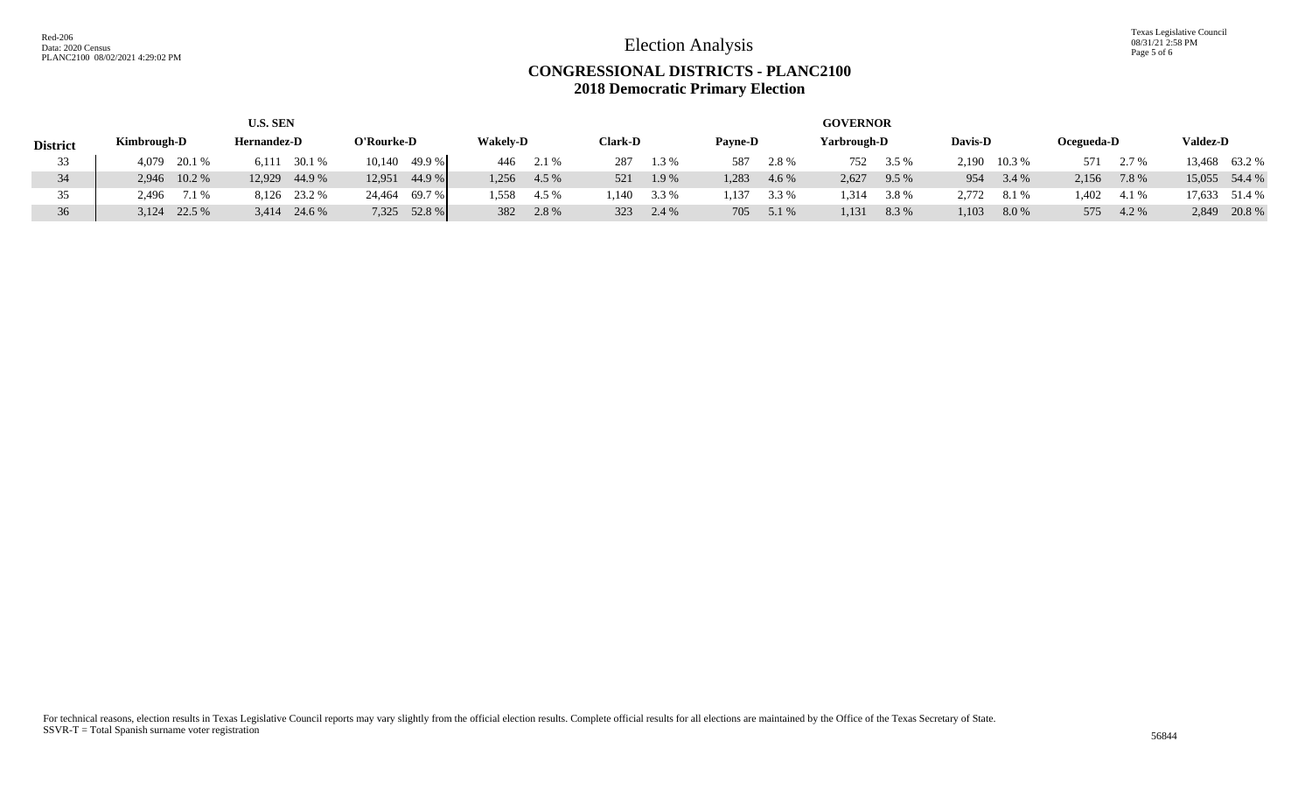Election Analysis

Texas Legislative Council 08/31/21 2:58 PM Page 5 of 6

### **CONGRESSIONAL DISTRICTS - PLANC2100 2018 Democratic Primary Election**

|                 |                                   | <b>U.S. SEN</b> |                  | <b>GOVERNOR</b> |           |                |       |       |                |       |             |       |              |       |            |  |                 |  |
|-----------------|-----------------------------------|-----------------|------------------|-----------------|-----------|----------------|-------|-------|----------------|-------|-------------|-------|--------------|-------|------------|--|-----------------|--|
| <b>District</b> | <b>Hernandez-D</b><br>Kimbrough-D |                 | O'Rourke-D       | <b>Wakely-D</b> |           | <b>Clark-D</b> |       |       | <b>Payne-D</b> |       | Yarbrough-D |       | Davis-D      |       | Ocegueda-D |  | <b>Valdez-D</b> |  |
| 33              | 4,079 20.1 %                      | 30.1 %<br>6.111 | 10,140 49.9 %    |                 | 446 2.1 % | 287            | 1.3%  | 587   | 2.8%           | 752   | 3.5 %       |       | 2,190 10.3 % | 571   | 2.7 %      |  | 13,468 63.2 %   |  |
| 34              | 2,946 10.2 %                      | 12,929 44.9 %   | 44.9 %<br>12,951 | 1,256           | 4.5 %     | 521            | 1.9%  | 1.283 | 4.6 %          | 2,627 | 9.5%        | 954   | 3.4 %        | 2,156 | 7.8 %      |  | 15,055 54.4 %   |  |
| 35              | 2,496 7.1 %                       | 8,126 23.2 %    | 24,464 69.7 %    | 1.558           | 4.5 %     | .140           | 3.3 % | .137  | 3.3 %          | .314  | 3.8%        | 2,772 | 8.1%         | 1,402 | 4.1 %      |  | 17,633 51.4 %   |  |
| 36              | $3,124$ 22.5 %                    | 3,414 24.6 %    | 7,325 52.8 %     | 382             | 2.8%      | 323            | 2.4 % | 705   | 5.1 %          | 1,131 | 8.3 %       | 1,103 | 8.0%         | 575   | 4.2 %      |  | 2,849 20.8 %    |  |